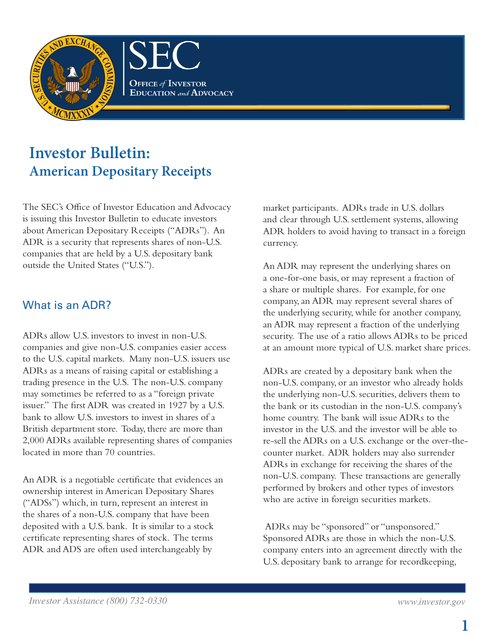

# **Investor Bulletin: American Depositary Receipts**

The SEC's Office of Investor Education and Advocacy is issuing this Investor Bulletin to educate investors about American Depositary Receipts ("ADRs"). An ADR is a security that represents shares of non-U.S. companies that are held by a U.S. depositary bank outside the United States ("U.S.").

#### What is an ADR?

ADRs allow U.S. investors to invest in non-U.S. companies and give non-U.S. companies easier access to the U.S. capital markets. Many non-U.S. issuers use ADRs as a means of raising capital or establishing a trading presence in the U.S. The non-U.S. company may sometimes be referred to as a "foreign private issuer." The first ADR was created in 1927 by a U.S. bank to allow U.S. investors to invest in shares of a British department store. Today, there are more than 2,000 ADRs available representing shares of companies located in more than 70 countries.

An ADR is a negotiable certificate that evidences an ownership interest in American Depositary Shares ("ADSs") which, in turn, represent an interest in the shares of a non-U.S. company that have been deposited with a U.S. bank. It is similar to a stock certificate representing shares of stock. The terms ADR and ADS are often used interchangeably by

market participants. ADRs trade in U.S. dollars and clear through U.S. settlement systems, allowing ADR holders to avoid having to transact in a foreign currency.

An ADR may represent the underlying shares on a one-for-one basis, or may represent a fraction of a share or multiple shares. For example, for one company, an ADR may represent several shares of the underlying security, while for another company, an ADR may represent a fraction of the underlying security. The use of a ratio allows ADRs to be priced at an amount more typical of U.S. market share prices.

ADRs are created by a depositary bank when the non-U.S. company, or an investor who already holds the underlying non-U.S. securities, delivers them to the bank or its custodian in the non-U.S. company's home country. The bank will issue ADRs to the investor in the U.S. and the investor will be able to re-sell the ADRs on a U.S. exchange or the over-thecounter market. ADR holders may also surrender ADRs in exchange for receiving the shares of the non-U.S. company. These transactions are generally performed by brokers and other types of investors who are active in foreign securities markets.

 ADRs may be "sponsored" or "unsponsored." Sponsored ADRs are those in which the non-U.S. company enters into an agreement directly with the U.S. depositary bank to arrange for recordkeeping,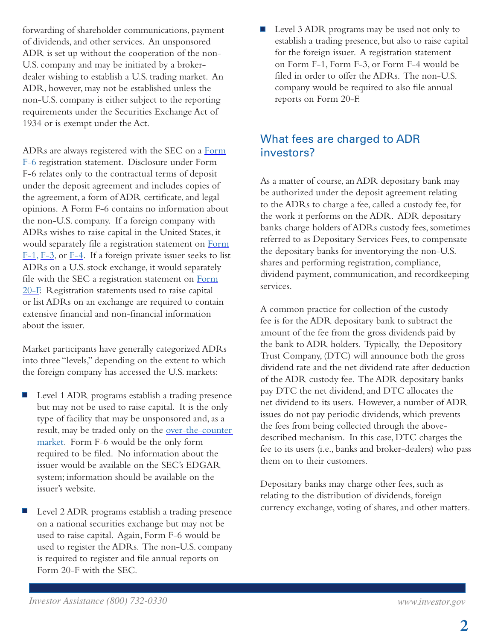forwarding of shareholder communications, payment of dividends, and other services. An unsponsored ADR is set up without the cooperation of the non-U.S. company and may be initiated by a brokerdealer wishing to establish a U.S. trading market. An ADR, however, may not be established unless the non-U.S. company is either subject to the reporting requirements under the Securities Exchange Act of 1934 or is exempt under the Act.

ADRs are always registered with the SEC on a [Form](http://www.sec.gov/about/forms/formf-6.pdf) [F-6](http://www.sec.gov/about/forms/formf-6.pdf) registration statement. Disclosure under Form F-6 relates only to the contractual terms of deposit under the deposit agreement and includes copies of the agreement, a form of ADR certificate, and legal opinions. A Form F-6 contains no information about the non-U.S. company. If a foreign company with ADRs wishes to raise capital in the United States, it would separately file a registration statement on [Form](http://www.sec.gov/about/forms/formf-1.pdf) [F-1,](http://www.sec.gov/about/forms/formf-1.pdf) [F-3](http://www.sec.gov/about/forms/formf-3.pdf), or [F-4](http://www.sec.gov/about/forms/formf-4.pdf). If a foreign private issuer seeks to list ADRs on a U.S. stock exchange, it would separately file with the SEC a registration statement on [Form](http://www.sec.gov/about/forms/form20-f.pdf) [20-F.](http://www.sec.gov/about/forms/form20-f.pdf) Registration statements used to raise capital or list ADRs on an exchange are required to contain extensive financial and non-financial information about the issuer.

Market participants have generally categorized ADRs into three "levels," depending on the extent to which the foreign company has accessed the U.S. markets:

- **Level 1 ADR programs establish a trading presence** but may not be used to raise capital. It is the only type of facility that may be unsponsored and, as a result, may be traded only on the over-the-counter [market.](http://www.sec.gov/divisions/marketreg/mrotc.shtml) Form F-6 would be the only form required to be filed. No information about the issuer would be available on the SEC's EDGAR system; information should be available on the issuer's website.
- Level 2 ADR programs establish a trading presence on a national securities exchange but may not be used to raise capital. Again, Form F-6 would be used to register the ADRs. The non-U.S. company is required to register and file annual reports on Form 20-F with the SEC.

■ Level 3 ADR programs may be used not only to establish a trading presence, but also to raise capital for the foreign issuer. A registration statement on Form F-1, Form F-3, or Form F-4 would be filed in order to offer the ADRs. The non-U.S. company would be required to also file annual reports on Form 20-F.

#### What fees are charged to ADR investors?

As a matter of course, an ADR depositary bank may be authorized under the deposit agreement relating to the ADRs to charge a fee, called a custody fee, for the work it performs on the ADR. ADR depositary banks charge holders of ADRs custody fees, sometimes referred to as Depositary Services Fees, to compensate the depositary banks for inventorying the non-U.S. shares and performing registration, compliance, dividend payment, communication, and recordkeeping services.

A common practice for collection of the custody fee is for the ADR depositary bank to subtract the amount of the fee from the gross dividends paid by the bank to ADR holders. Typically, the Depository Trust Company, (DTC) will announce both the gross dividend rate and the net dividend rate after deduction of the ADR custody fee. The ADR depositary banks pay DTC the net dividend, and DTC allocates the net dividend to its users. However, a number of ADR issues do not pay periodic dividends, which prevents the fees from being collected through the abovedescribed mechanism. In this case, DTC charges the fee to its users (i.e., banks and broker-dealers) who pass them on to their customers.

Depositary banks may charge other fees, such as relating to the distribution of dividends, foreign currency exchange, voting of shares, and other matters.